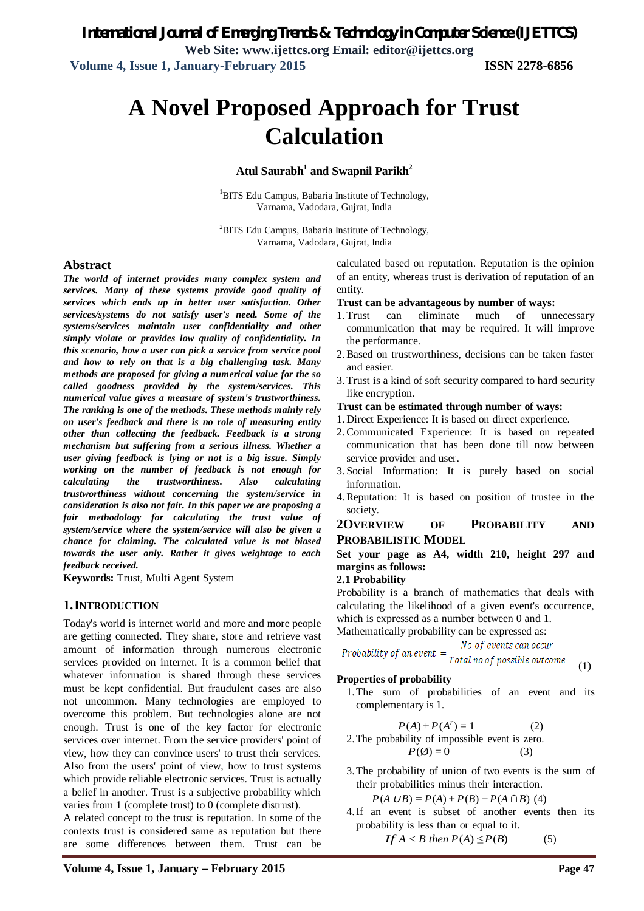# **A Novel Proposed Approach for Trust Calculation**

#### **Atul Saurabh<sup>1</sup> and Swapnil Parikh<sup>2</sup>**

<sup>1</sup>BITS Edu Campus, Babaria Institute of Technology, Varnama, Vadodara, Gujrat, India

<sup>2</sup>BITS Edu Campus, Babaria Institute of Technology, Varnama, Vadodara, Gujrat, India

#### **Abstract**

*The world of internet provides many complex system and services. Many of these systems provide good quality of services which ends up in better user satisfaction. Other services/systems do not satisfy user's need. Some of the systems/services maintain user confidentiality and other simply violate or provides low quality of confidentiality. In this scenario, how a user can pick a service from service pool and how to rely on that is a big challenging task. Many methods are proposed for giving a numerical value for the so called goodness provided by the system/services. This numerical value gives a measure of system's trustworthiness. The ranking is one of the methods. These methods mainly rely on user's feedback and there is no role of measuring entity other than collecting the feedback. Feedback is a strong mechanism but suffering from a serious illness. Whether a user giving feedback is lying or not is a big issue. Simply working on the number of feedback is not enough for calculating the trustworthiness. Also calculating trustworthiness without concerning the system/service in consideration is also not fair. In this paper we are proposing a fair methodology for calculating the trust value of system/service where the system/service will also be given a chance for claiming. The calculated value is not biased towards the user only. Rather it gives weightage to each feedback received.*

**Keywords:** Trust, Multi Agent System

#### **1.INTRODUCTION**

Today's world is internet world and more and more people are getting connected. They share, store and retrieve vast amount of information through numerous electronic services provided on internet. It is a common belief that whatever information is shared through these services must be kept confidential. But fraudulent cases are also not uncommon. Many technologies are employed to overcome this problem. But technologies alone are not enough. Trust is one of the key factor for electronic services over internet. From the service providers' point of view, how they can convince users' to trust their services. Also from the users' point of view, how to trust systems which provide reliable electronic services. Trust is actually a belief in another. Trust is a subjective probability which varies from 1 (complete trust) to 0 (complete distrust).

A related concept to the trust is reputation. In some of the contexts trust is considered same as reputation but there are some differences between them. Trust can be calculated based on reputation. Reputation is the opinion of an entity, whereas trust is derivation of reputation of an entity.

#### **Trust can be advantageous by number of ways:**

- 1. Trust can eliminate much of unnecessary communication that may be required. It will improve the performance.
- 2.Based on trustworthiness, decisions can be taken faster and easier.
- 3. Trust is a kind of soft security compared to hard security like encryption.

#### **Trust can be estimated through number of ways:**

- 1. Direct Experience: It is based on direct experience.
- 2.Communicated Experience: It is based on repeated communication that has been done till now between service provider and user.
- 3. Social Information: It is purely based on social information.
- 4.Reputation: It is based on position of trustee in the society.

#### **2OVERVIEW OF PROBABILITY AND PROBABILISTIC MODEL**

#### **Set your page as A4, width 210, height 297 and margins as follows:**

#### **2.1 Probability**

Probability is a branch of mathematics that deals with calculating the likelihood of a given event's occurrence, which is expressed as a number between 0 and 1.

Mathematically probability can be expressed as:<br> $\frac{MQ}{d}$  of events can accur

Probability of an event 
$$
=
$$
  $\frac{NO \text{ of events can occur}}{Total \text{ no of possible outcome}}$  (1)

#### **Properties of probability**

1.The sum of probabilities of an event and its complementary is 1.

$$
P(A) + P(Ar) = 1
$$
 (2)  
2. The probability of impossible event is zero.  

$$
P(\emptyset) = 0
$$
 (3)

3.The probability of union of two events is the sum of their probabilities minus their interaction.

$$
P(A \cup B) = P(A) + P(B) - P(A \cap B)
$$
 (4)

4.If an event is subset of another events then its probability is less than or equal to it.

$$
If A < B then P(A) \leq P(B) \tag{5}
$$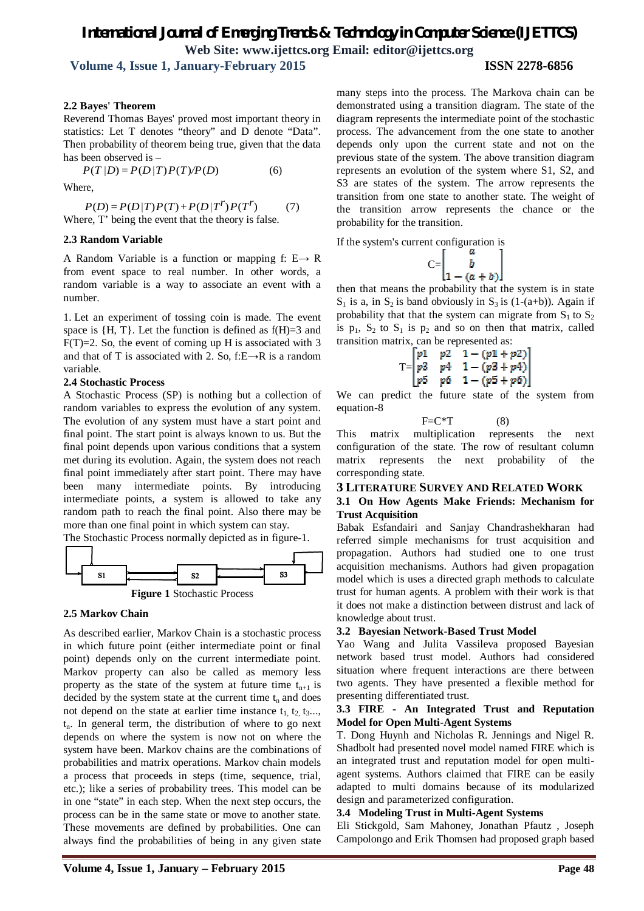## *International Journal of Emerging Trends & Technology in Computer Science (IJETTCS)* **Web Site: www.ijettcs.org Email: editor@ijettcs.org**

 **Volume 4, Issue 1, January-February 2015 ISSN 2278-6856**

#### **2.2 Bayes' Theorem**

Reverend Thomas Bayes' proved most important theory in statistics: Let T denotes "theory" and D denote "Data". Then probability of theorem being true, given that the data has been observed is –

$$
P(T|D) = P(D|T)P(T)/P(D)
$$
 (6)

Where,

$$
P(D) = P(D/T)P(T) + P(D/T^r)P(T^r)
$$
 (7)  
Where, T' being the event that the theory is false.

#### **2.3 Random Variable**

A Random Variable is a function or mapping f:  $E \rightarrow R$ from event space to real number. In other words, a random variable is a way to associate an event with a number.

1. Let an experiment of tossing coin is made. The event space is  $\{H, T\}$ . Let the function is defined as  $f(H)=3$  and  $F(T)=2$ . So, the event of coming up H is associated with 3 and that of T is associated with 2. So, f: $E \rightarrow R$  is a random variable.

#### **2.4 Stochastic Process**

A Stochastic Process (SP) is nothing but a collection of random variables to express the evolution of any system. The evolution of any system must have a start point and final point. The start point is always known to us. But the final point depends upon various conditions that a system met during its evolution. Again, the system does not reach final point immediately after start point. There may have been many intermediate points. By introducing intermediate points, a system is allowed to take any random path to reach the final point. Also there may be more than one final point in which system can stay.

The Stochastic Process normally depicted as in figure-1.



#### **2.5 Markov Chain**

As described earlier, Markov Chain is a stochastic process in which future point (either intermediate point or final point) depends only on the current intermediate point. Markov property can also be called as memory less property as the state of the system at future time  $t_{n+1}$  is decided by the system state at the current time  $t_n$  and does not depend on the state at earlier time instance  $t_1, t_2, t_3...$  $t_n$ . In general term, the distribution of where to go next depends on where the system is now not on where the system have been. Markov chains are the combinations of probabilities and matrix operations. Markov chain models a process that proceeds in steps (time, sequence, trial, etc.); like a series of probability trees. This model can be in one "state" in each step. When the next step occurs, the process can be in the same state or move to another state. These movements are defined by probabilities. One can always find the probabilities of being in any given state

many steps into the process. The Markova chain can be demonstrated using a transition diagram. The state of the diagram represents the intermediate point of the stochastic process. The advancement from the one state to another depends only upon the current state and not on the previous state of the system. The above transition diagram represents an evolution of the system where S1, S2, and S3 are states of the system. The arrow represents the transition from one state to another state. The weight of the transition arrow represents the chance or the probability for the transition.

If the system's current configuration is

$$
C = \begin{bmatrix} a \\ b \\ 1 - (a + b) \end{bmatrix}
$$

then that means the probability that the system is in state  $S_1$  is a, in  $S_2$  is band obviously in  $S_3$  is (1-(a+b)). Again if probability that that the system can migrate from  $S_1$  to  $S_2$ is  $p_1$ ,  $S_2$  to  $S_1$  is  $p_2$  and so on then that matrix, called transition matrix, can be represented as:

$$
T = \begin{bmatrix} p1 & p2 & 1 - (p1 + p2) \\ p3 & p4 & 1 - (p3 + p4) \\ p5 & p6 & 1 - (p5 + p6) \end{bmatrix}
$$

We can predict the future state of the system from equation-8

$$
F = C^*T \tag{8}
$$

This matrix multiplication represents the next configuration of the state. The row of resultant column matrix represents the next probability of the corresponding state.

#### **3 LITERATURE SURVEY AND RELATED WORK**

#### **3.1 On How Agents Make Friends: Mechanism for Trust Acquisition**

Babak Esfandairi and Sanjay Chandrashekharan had referred simple mechanisms for trust acquisition and propagation. Authors had studied one to one trust acquisition mechanisms. Authors had given propagation model which is uses a directed graph methods to calculate trust for human agents. A problem with their work is that it does not make a distinction between distrust and lack of knowledge about trust.

#### **3.2 Bayesian Network-Based Trust Model**

Yao Wang and Julita Vassileva proposed Bayesian network based trust model. Authors had considered situation where frequent interactions are there between two agents. They have presented a flexible method for presenting differentiated trust.

#### **3.3 FIRE - An Integrated Trust and Reputation Model for Open Multi-Agent Systems**

T. Dong Huynh and Nicholas R. Jennings and Nigel R. Shadbolt had presented novel model named FIRE which is an integrated trust and reputation model for open multiagent systems. Authors claimed that FIRE can be easily adapted to multi domains because of its modularized design and parameterized configuration.

#### **3.4 Modeling Trust in Multi-Agent Systems**

Eli Stickgold, Sam Mahoney, Jonathan Pfautz , Joseph Campolongo and Erik Thomsen had proposed graph based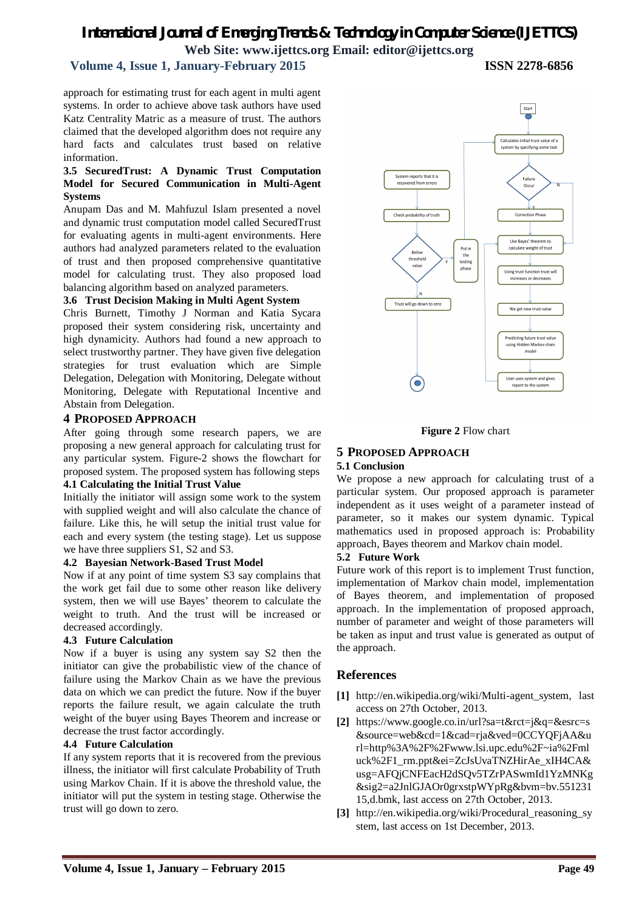## *International Journal of Emerging Trends & Technology in Computer Science (IJETTCS)* **Web Site: www.ijettcs.org Email: editor@ijettcs.org**

#### **Volume 4, Issue 1, January-February 2015 ISSN 2278-6856**

approach for estimating trust for each agent in multi agent systems. In order to achieve above task authors have used Katz Centrality Matric as a measure of trust. The authors claimed that the developed algorithm does not require any hard facts and calculates trust based on relative information.

#### **3.5 SecuredTrust: A Dynamic Trust Computation Model for Secured Communication in Multi-Agent Systems**

Anupam Das and M. Mahfuzul Islam presented a novel and dynamic trust computation model called SecuredTrust for evaluating agents in multi-agent environments. Here authors had analyzed parameters related to the evaluation of trust and then proposed comprehensive quantitative model for calculating trust. They also proposed load balancing algorithm based on analyzed parameters.

#### **3.6 Trust Decision Making in Multi Agent System**

Chris Burnett, Timothy J Norman and Katia Sycara proposed their system considering risk, uncertainty and high dynamicity. Authors had found a new approach to select trustworthy partner. They have given five delegation strategies for trust evaluation which are Simple Delegation, Delegation with Monitoring, Delegate without Monitoring, Delegate with Reputational Incentive and Abstain from Delegation.

#### **4 PROPOSED APPROACH**

After going through some research papers, we are proposing a new general approach for calculating trust for any particular system. Figure-2 shows the flowchart for proposed system. The proposed system has following steps

#### **4.1 Calculating the Initial Trust Value**

Initially the initiator will assign some work to the system with supplied weight and will also calculate the chance of failure. Like this, he will setup the initial trust value for each and every system (the testing stage). Let us suppose we have three suppliers S1, S2 and S3.

#### **4.2 Bayesian Network-Based Trust Model**

Now if at any point of time system S3 say complains that the work get fail due to some other reason like delivery system, then we will use Bayes' theorem to calculate the weight to truth. And the trust will be increased or decreased accordingly.

#### **4.3 Future Calculation**

Now if a buyer is using any system say S2 then the initiator can give the probabilistic view of the chance of failure using the Markov Chain as we have the previous data on which we can predict the future. Now if the buyer reports the failure result, we again calculate the truth weight of the buyer using Bayes Theorem and increase or decrease the trust factor accordingly.

#### **4.4 Future Calculation**

If any system reports that it is recovered from the previous illness, the initiator will first calculate Probability of Truth using Markov Chain. If it is above the threshold value, the initiator will put the system in testing stage. Otherwise the trust will go down to zero.





## **5 PROPOSED APPROACH**

#### **5.1 Conclusion**

We propose a new approach for calculating trust of a particular system. Our proposed approach is parameter independent as it uses weight of a parameter instead of parameter, so it makes our system dynamic. Typical mathematics used in proposed approach is: Probability approach, Bayes theorem and Markov chain model.

#### **5.2 Future Work**

Future work of this report is to implement Trust function, implementation of Markov chain model, implementation of Bayes theorem, and implementation of proposed approach. In the implementation of proposed approach, number of parameter and weight of those parameters will be taken as input and trust value is generated as output of the approach.

### **References**

- **[1]** http://en.wikipedia.org/wiki/Multi-agent\_system, last access on 27th October, 2013.
- **[2]** https://www.google.co.in/url?sa=t&rct=j&q=&esrc=s &source=web&cd=1&cad=rja&ved=0CCYQFjAA&u rl=http%3A%2F%2Fwww.lsi.upc.edu%2F~ia%2Fml uck%2F1\_rm.ppt&ei=ZcJsUvaTNZHirAe\_xIH4CA& usg=AFQjCNFEacH2dSQv5TZrPASwmId1YzMNKg &sig2=a2JnlGJAOr0grxstpWYpRg&bvm=bv.551231 15,d.bmk, last access on 27th October, 2013.
- **[3]** http://en.wikipedia.org/wiki/Procedural\_reasoning\_sy stem, last access on 1st December, 2013.